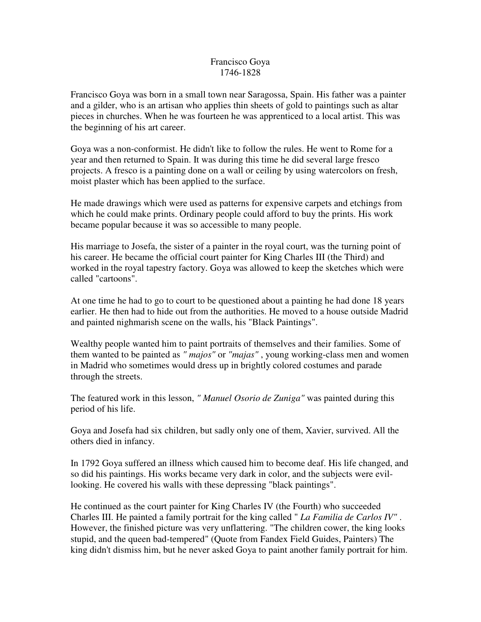## Francisco Goya 1746-1828

Francisco Goya was born in a small town near Saragossa, Spain. His father was a painter and a gilder, who is an artisan who applies thin sheets of gold to paintings such as altar pieces in churches. When he was fourteen he was apprenticed to a local artist. This was the beginning of his art career.

Goya was a non-conformist. He didn't like to follow the rules. He went to Rome for a year and then returned to Spain. It was during this time he did several large fresco projects. A fresco is a painting done on a wall or ceiling by using watercolors on fresh, moist plaster which has been applied to the surface.

He made drawings which were used as patterns for expensive carpets and etchings from which he could make prints. Ordinary people could afford to buy the prints. His work became popular because it was so accessible to many people.

His marriage to Josefa, the sister of a painter in the royal court, was the turning point of his career. He became the official court painter for King Charles III (the Third) and worked in the royal tapestry factory. Goya was allowed to keep the sketches which were called "cartoons".

At one time he had to go to court to be questioned about a painting he had done 18 years earlier. He then had to hide out from the authorities. He moved to a house outside Madrid and painted nighmarish scene on the walls, his "Black Paintings".

Wealthy people wanted him to paint portraits of themselves and their families. Some of them wanted to be painted as *" majos"* or *"majas"* , young working-class men and women in Madrid who sometimes would dress up in brightly colored costumes and parade through the streets.

The featured work in this lesson, *" Manuel Osorio de Zuniga"* was painted during this period of his life.

Goya and Josefa had six children, but sadly only one of them, Xavier, survived. All the others died in infancy.

In 1792 Goya suffered an illness which caused him to become deaf. His life changed, and so did his paintings. His works became very dark in color, and the subjects were evillooking. He covered his walls with these depressing "black paintings".

He continued as the court painter for King Charles IV (the Fourth) who succeeded Charles III. He painted a family portrait for the king called " *La Familia de Carlos IV"* . However, the finished picture was very unflattering. "The children cower, the king looks stupid, and the queen bad-tempered" (Quote from Fandex Field Guides, Painters) The king didn't dismiss him, but he never asked Goya to paint another family portrait for him.